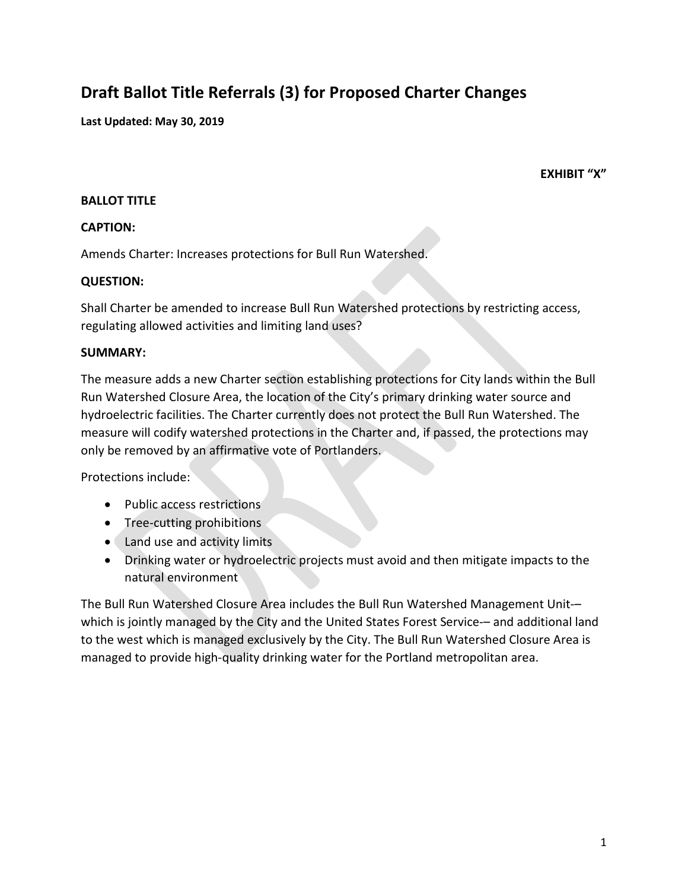# **Draft Ballot Title Referrals (3) for Proposed Charter Changes**

**Last Updated: May 30, 2019**

**EXHIBIT "X"**

#### **BALLOT TITLE**

#### **CAPTION:**

Amends Charter: Increases protections for Bull Run Watershed.

#### **QUESTION:**

Shall Charter be amended to increase Bull Run Watershed protections by restricting access, regulating allowed activities and limiting land uses?

#### **SUMMARY:**

The measure adds a new Charter section establishing protections for City lands within the Bull Run Watershed Closure Area, the location of the City's primary drinking water source and hydroelectric facilities. The Charter currently does not protect the Bull Run Watershed. The measure will codify watershed protections in the Charter and, if passed, the protections may only be removed by an affirmative vote of Portlanders.

Protections include:

- Public access restrictions
- Tree-cutting prohibitions
- Land use and activity limits
- Drinking water or hydroelectric projects must avoid and then mitigate impacts to the natural environment

The Bull Run Watershed Closure Area includes the Bull Run Watershed Management Unit-– which is jointly managed by the City and the United States Forest Service-– and additional land to the west which is managed exclusively by the City. The Bull Run Watershed Closure Area is managed to provide high-quality drinking water for the Portland metropolitan area.